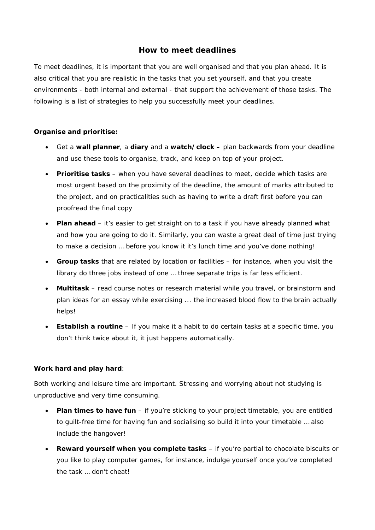# **How to meet deadlines**

To meet deadlines, it is important that you are well organised and that you plan ahead. It is also critical that you are realistic in the tasks that you set yourself, and that you create environments - both internal and external - that support the achievement of those tasks. The following is a list of strategies to help you successfully meet your deadlines.

## *Organise and prioritise:*

- Get a **wall planner**, a **diary** and a **watch/clock** plan backwards from your deadline and use these tools to organise, track, and keep on top of your project.
- **Prioritise tasks** when you have several deadlines to meet, decide which tasks are most urgent based on the proximity of the deadline, the amount of marks attributed to the project, and on practicalities such as having to write a draft first before you can proofread the final copy
- **Plan ahead** it's easier to get straight on to a task if you have already planned what and how you are going to do it. Similarly, you can waste a great deal of time just trying to make a decision … before you know it it's lunch time and you've done nothing!
- **Group tasks** that are related by location or facilities for instance, when you visit the library do three jobs instead of one … three separate trips is far less efficient.
- **Multitask** read course notes or research material while you travel, or brainstorm and plan ideas for an essay while exercising ... the increased blood flow to the brain actually helps!
- **Establish a routine** If you make it a habit to do certain tasks at a specific time, you don't think twice about it, it just happens automatically.

## *Work hard and play hard:*

Both working and leisure time are important. Stressing and worrying about *not* studying is unproductive and very time consuming.

- **Plan times to have fun** if you're sticking to your project timetable, you are entitled to guilt-free time for having fun and socialising so build it into your timetable … also include the hangover!
- **Reward yourself when you complete tasks** if you're partial to chocolate biscuits or you like to play computer games, for instance, indulge yourself once you've completed the task … don't cheat!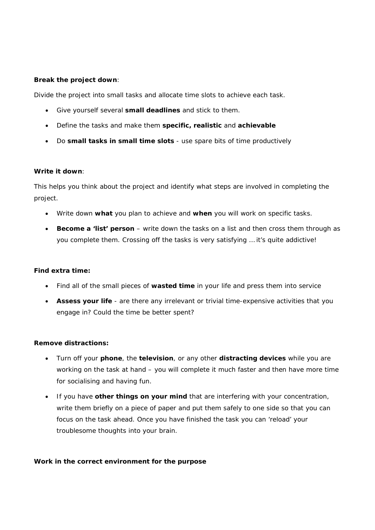### *Break the project down:*

Divide the project into small tasks and allocate time slots to achieve each task.

- Give yourself several **small deadlines** and stick to them.
- Define the tasks and make them **specific, realistic** and **achievable**
- Do **small tasks in small time slots** use spare bits of time productively

#### *Write it down:*

This helps you think about the project and identify what steps are involved in completing the project.

- Write down **what** you plan to achieve and **when** you will work on specific tasks.
- **Become a 'list' person** write down the tasks on a list and then cross them through as you complete them. Crossing off the tasks is very satisfying … it's quite addictive!

#### *Find extra time:*

- Find all of the small pieces of **wasted time** in your life and press them into service
- **Assess your life** are there any irrelevant or trivial time-expensive activities that you engage in? Could the time be better spent?

#### *Remove distractions:*

- Turn off your **phone**, the **television**, or any other **distracting devices** while you are working on the task at hand – you will complete it much faster and then have more time for socialising and having fun.
- If you have **other things on your mind** that are interfering with your concentration, write them briefly on a piece of paper and put them safely to one side so that you can focus on the task ahead. Once you have finished the task you can 'reload' your troublesome thoughts into your brain.

#### *Work in the correct environment for the purpose*